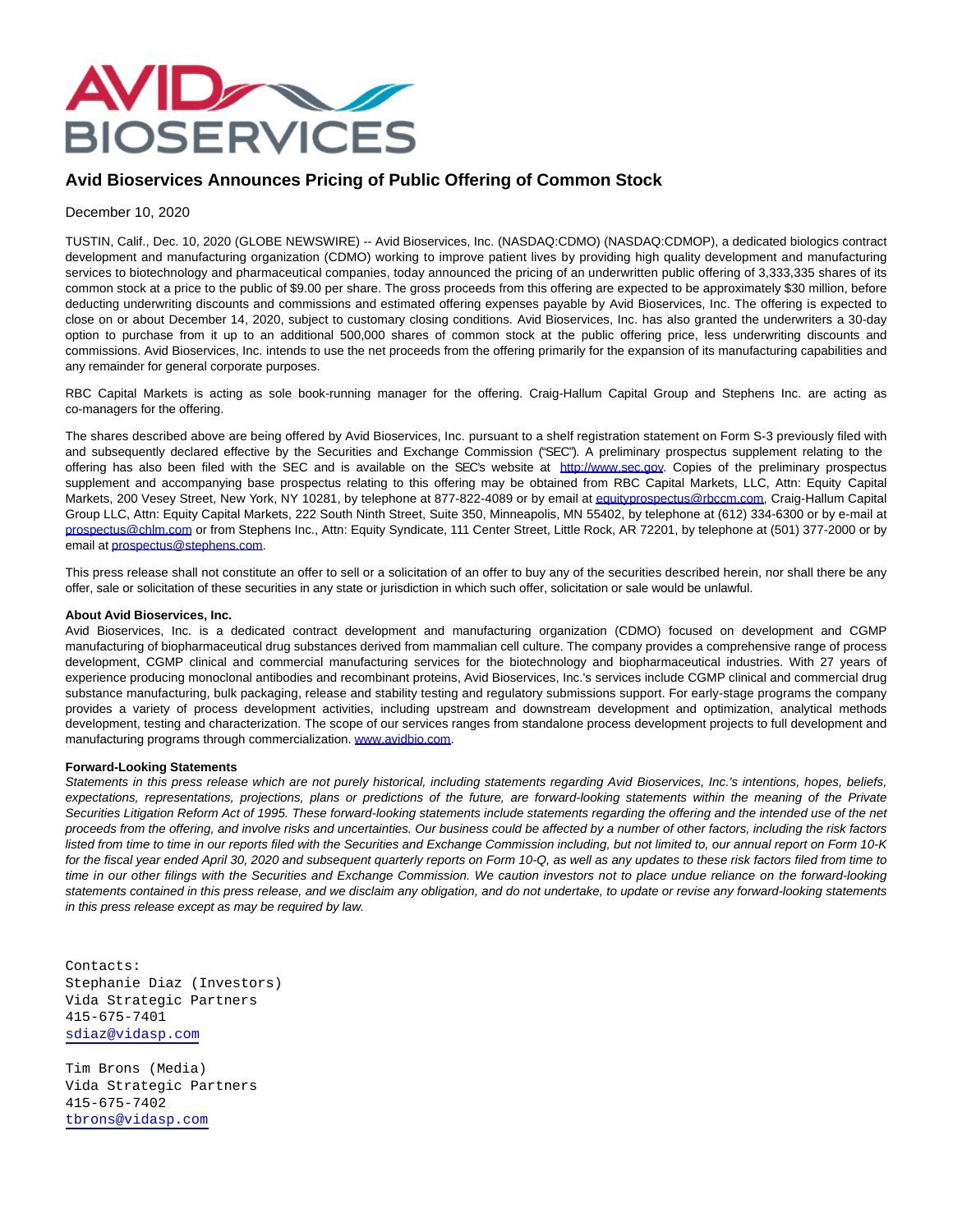

## **Avid Bioservices Announces Pricing of Public Offering of Common Stock**

## December 10, 2020

TUSTIN, Calif., Dec. 10, 2020 (GLOBE NEWSWIRE) -- Avid Bioservices, Inc. (NASDAQ:CDMO) (NASDAQ:CDMOP), a dedicated biologics contract development and manufacturing organization (CDMO) working to improve patient lives by providing high quality development and manufacturing services to biotechnology and pharmaceutical companies, today announced the pricing of an underwritten public offering of 3,333,335 shares of its common stock at a price to the public of \$9.00 per share. The gross proceeds from this offering are expected to be approximately \$30 million, before deducting underwriting discounts and commissions and estimated offering expenses payable by Avid Bioservices, Inc. The offering is expected to close on or about December 14, 2020, subject to customary closing conditions. Avid Bioservices, Inc. has also granted the underwriters a 30-day option to purchase from it up to an additional 500,000 shares of common stock at the public offering price, less underwriting discounts and commissions. Avid Bioservices, Inc. intends to use the net proceeds from the offering primarily for the expansion of its manufacturing capabilities and any remainder for general corporate purposes.

RBC Capital Markets is acting as sole book-running manager for the offering. Craig-Hallum Capital Group and Stephens Inc. are acting as co-managers for the offering.

The shares described above are being offered by Avid Bioservices, Inc. pursuant to a shelf registration statement on Form S-3 previously filed with and subsequently declared effective by the Securities and Exchange Commission ("SEC"). A preliminary prospectus supplement relating to the offering has also been filed with the SEC and is available on the SEC's website at [http://www.sec.gov.](http://www.sec.gov/) Copies of the preliminary prospectus supplement and accompanying base prospectus relating to this offering may be obtained from RBC Capital Markets, LLC, Attn: Equity Capital Markets, 200 Vesey Street, New York, NY 10281, by telephone at 877-822-4089 or by email at [equityprospectus@rbccm.com,](https://www.globenewswire.com/Tracker?data=p4D_ukYWBNBzRau391LGrZrRKeivSkT2BKR2cyMXS5at7FmAhA1iJyvzRunukPwS5YrLPjYjNJPmzusJ9fc0alZ3w90ne9wIP32iG5022yneztoQQj8iiL9_WtUB--Ol) Craig-Hallum Capital Group LLC, Attn: Equity Capital Markets, 222 South Ninth Street, Suite 350, Minneapolis, MN 55402, by telephone at (612) 334-6300 or by e-mail at [prospectus@chlm.com o](https://www.globenewswire.com/Tracker?data=ZJ4wUF6mLrRS2i5CA0JGMKsmIkk7bE6IuSZZjo-fKzhdrRz7lZ08HS8Vxdt9LnyJ8r4korpbPi5Z286dJ-g3NSBLVTOVc5jVvKmA_chXBp4=)r from Stephens Inc., Attn: Equity Syndicate, 111 Center Street, Little Rock, AR 72201, by telephone at (501) 377-2000 or by email at [prospectus@stephens.com.](https://www.globenewswire.com/Tracker?data=ZJ4wUF6mLrRS2i5CA0JGMEUBePG74_8brnM73uw9uU5-mZVv5Wh9u9tuJw5GH9a4U-Ax26-m9mKxiIs-9OWZgzwg2z4gMBfVJVh1XuX0gYw=)

This press release shall not constitute an offer to sell or a solicitation of an offer to buy any of the securities described herein, nor shall there be any offer, sale or solicitation of these securities in any state or jurisdiction in which such offer, solicitation or sale would be unlawful.

## **About Avid Bioservices, Inc.**

Avid Bioservices, Inc. is a dedicated contract development and manufacturing organization (CDMO) focused on development and CGMP manufacturing of biopharmaceutical drug substances derived from mammalian cell culture. The company provides a comprehensive range of process development, CGMP clinical and commercial manufacturing services for the biotechnology and biopharmaceutical industries. With 27 years of experience producing monoclonal antibodies and recombinant proteins, Avid Bioservices, Inc.'s services include CGMP clinical and commercial drug substance manufacturing, bulk packaging, release and stability testing and regulatory submissions support. For early-stage programs the company provides a variety of process development activities, including upstream and downstream development and optimization, analytical methods development, testing and characterization. The scope of our services ranges from standalone process development projects to full development and manufacturing programs through commercialization. [www.avidbio.com.](https://www.globenewswire.com/Tracker?data=ZYZPvOfjICy3avbTvcttK3aP4R8YDlJ62fNkSWE1upcL8xu_jqHFFYIFZuDBkjvBhl1efGxTFTBZ8lFvEWsleQ==)

## **Forward-Looking Statements**

Statements in this press release which are not purely historical, including statements regarding Avid Bioservices, Inc.'s intentions, hopes, beliefs, expectations, representations, projections, plans or predictions of the future, are forward-looking statements within the meaning of the Private Securities Litigation Reform Act of 1995. These forward-looking statements include statements regarding the offering and the intended use of the net proceeds from the offering, and involve risks and uncertainties. Our business could be affected by a number of other factors, including the risk factors listed from time to time in our reports filed with the Securities and Exchange Commission including, but not limited to, our annual report on Form 10-K for the fiscal year ended April 30, 2020 and subsequent quarterly reports on Form 10-Q, as well as any updates to these risk factors filed from time to time in our other filings with the Securities and Exchange Commission. We caution investors not to place undue reliance on the forward-looking statements contained in this press release, and we disclaim any obligation, and do not undertake, to update or revise any forward-looking statements in this press release except as may be required by law.

Contacts: Stephanie Diaz (Investors) Vida Strategic Partners 415-675-7401 [sdiaz@vidasp.com](mailto:sdiaz@vidasp.com)

Tim Brons (Media) Vida Strategic Partners 415-675-7402 [tbrons@vidasp.com](mailto:tbrons@vidasp.com)